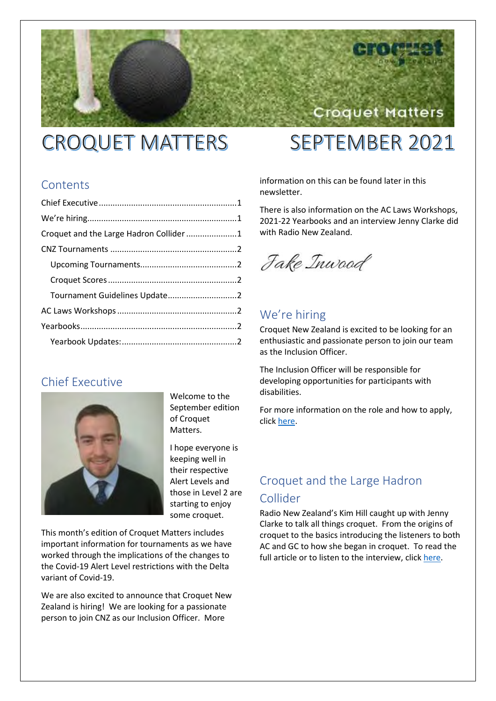# **CROQUET MATTERS**

# **SEPTEMBER 2021**

Croquet Matters

### **Contents**

| Croquet and the Large Hadron Collider 1 |  |
|-----------------------------------------|--|
|                                         |  |
|                                         |  |
|                                         |  |
| Tournament Guidelines Update2           |  |
|                                         |  |
|                                         |  |
|                                         |  |
|                                         |  |

### Chief Executive



Welcome to the September edition of Croquet Matters.

I hope everyone is keeping well in their respective Alert Levels and those in Level 2 are starting to enjoy some croquet.

This month's edition of Croquet Matters includes important information for tournaments as we have worked through the implications of the changes to the Covid-19 Alert Level restrictions with the Delta variant of Covid-19.

We are also excited to announce that Croquet New Zealand is hiring! We are looking for a passionate person to join CNZ as our Inclusion Officer. More

information on this can be found later in this newsletter.

There is also information on the AC Laws Workshops, 2021-22 Yearbooks and an interview Jenny Clarke did with Radio New Zealand.

Jake Inwood

# We're hiring

Croquet New Zealand is excited to be looking for an enthusiastic and passionate person to join our team as the Inclusion Officer.

The Inclusion Officer will be responsible for developing opportunities for participants with disabilities.

For more information on the role and how to apply, clic[k here.](https://croquet.org.nz/cnz-inclusion-officer-role/)

# Croquet and the Large Hadron Collider

Radio New Zealand's Kim Hill caught up with Jenny Clarke to talk all things croquet. From the origins of croquet to the basics introducing the listeners to both AC and GC to how she began in croquet. To read the full article or to listen to the interview, clic[k here.](https://www.rnz.co.nz/national/programmes/saturday/audio/2018812878/dr-jenny-clarke-croquet-and-the-large-hadron-collider)